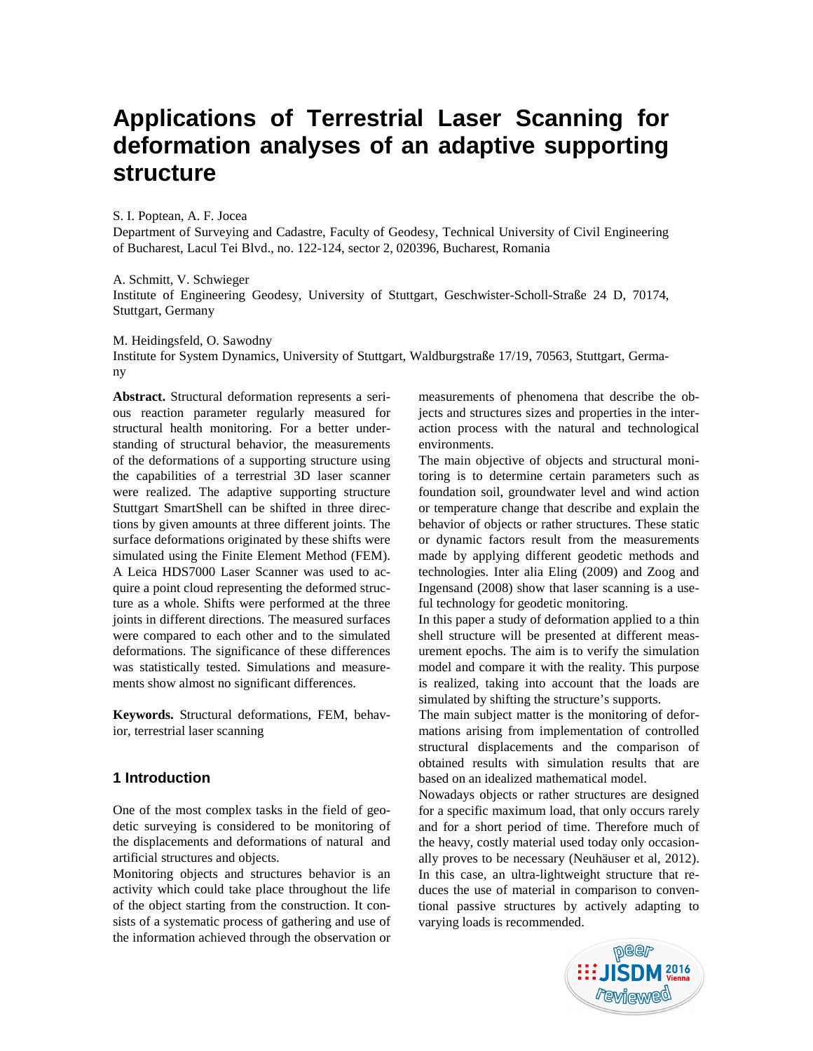# **Applications of Terrestrial Laser Scanning for deformation analyses of an adaptive supporting structure**

S. I. Poptean, A. F. Jocea

Department of Surveying and Cadastre, Faculty of Geodesy, Technical University of Civil Engineering of Bucharest, Lacul Tei Blvd., no. 122-124, sector 2, 020396, Bucharest, Romania

A. Schmitt, V. Schwieger

Institute of Engineering Geodesy, University of Stuttgart, Geschwister-Scholl-Straße 24 D, 70174, Stuttgart, Germany

M. Heidingsfeld, O. Sawodny

Institute for System Dynamics, University of Stuttgart, Waldburgstraße 17/19, 70563, Stuttgart, Germany

**Abstract.** Structural deformation represents a serious reaction parameter regularly measured for structural health monitoring. For a better understanding of structural behavior, the measurements of the deformations of a supporting structure using the capabilities of a terrestrial 3D laser scanner were realized. The adaptive supporting structure Stuttgart SmartShell can be shifted in three directions by given amounts at three different joints. The surface deformations originated by these shifts were simulated using the Finite Element Method (FEM). A Leica HDS7000 Laser Scanner was used to acquire a point cloud representing the deformed structure as a whole. Shifts were performed at the three joints in different directions. The measured surfaces were compared to each other and to the simulated deformations. The significance of these differences was statistically tested. Simulations and measurements show almost no significant differences.

**Keywords.** Structural deformations, FEM, behavior, terrestrial laser scanning

# **1 Introduction**

One of the most complex tasks in the field of geodetic surveying is considered to be monitoring of the displacements and deformations of natural and artificial structures and objects.

Monitoring objects and structures behavior is an activity which could take place throughout the life of the object starting from the construction. It consists of a systematic process of gathering and use of the information achieved through the observation or

measurements of phenomena that describe the objects and structures sizes and properties in the interaction process with the natural and technological environments.

The main objective of objects and structural monitoring is to determine certain parameters such as foundation soil, groundwater level and wind action or temperature change that describe and explain the behavior of objects or rather structures. These static or dynamic factors result from the measurements made by applying different geodetic methods and technologies. Inter alia Eling (2009) and Zoog and Ingensand (2008) show that laser scanning is a useful technology for geodetic monitoring.

In this paper a study of deformation applied to a thin shell structure will be presented at different measurement epochs. The aim is to verify the simulation model and compare it with the reality. This purpose is realized, taking into account that the loads are simulated by shifting the structure's supports.

The main subject matter is the monitoring of deformations arising from implementation of controlled structural displacements and the comparison of obtained results with simulation results that are based on an idealized mathematical model.

Nowadays objects or rather structures are designed for a specific maximum load, that only occurs rarely and for a short period of time. Therefore much of the heavy, costly material used today only occasionally proves to be necessary (Neuhäuser et al, 2012). In this case, an ultra-lightweight structure that reduces the use of material in comparison to conventional passive structures by actively adapting to varying loads is recommended.

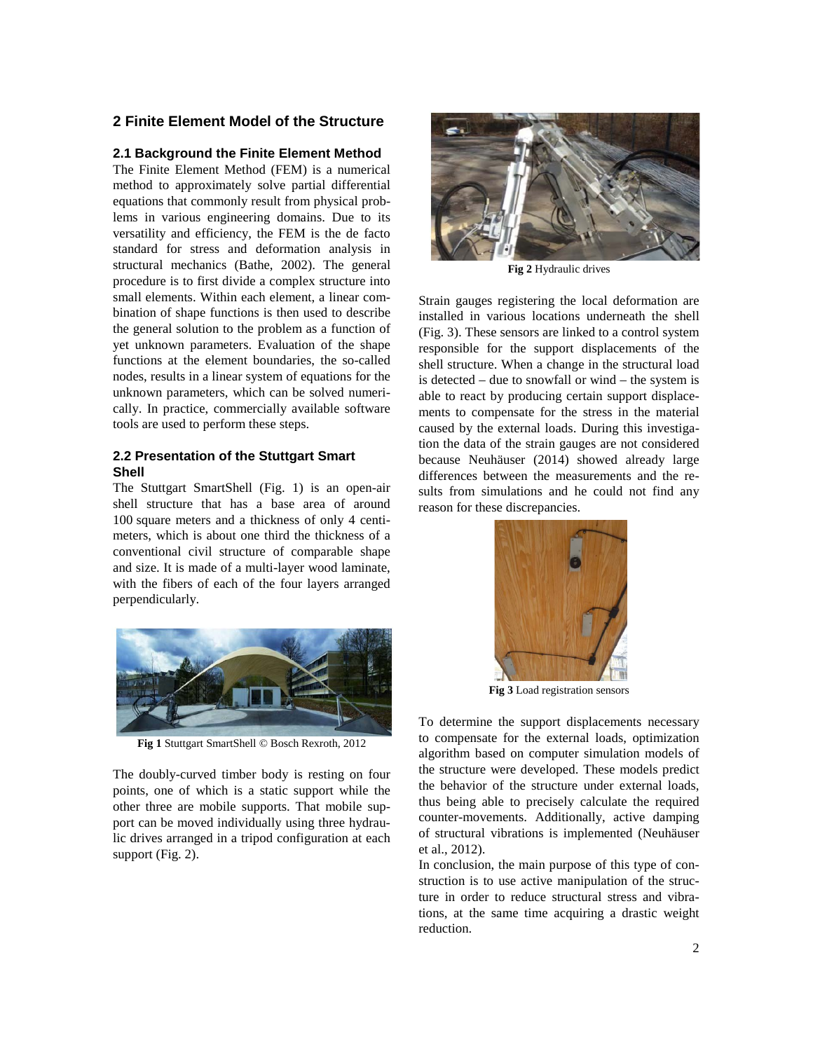# **2 Finite Element Model of the Structure**

#### **2.1 Background the Finite Element Method**

The Finite Element Method (FEM) is a numerical method to approximately solve partial differential equations that commonly result from physical problems in various engineering domains. Due to its versatility and efficiency, the FEM is the de facto standard for stress and deformation analysis in structural mechanics (Bathe, 2002). The general procedure is to first divide a complex structure into small elements. Within each element, a linear combination of shape functions is then used to describe the general solution to the problem as a function of yet unknown parameters. Evaluation of the shape functions at the element boundaries, the so-called nodes, results in a linear system of equations for the unknown parameters, which can be solved numerically. In practice, commercially available software tools are used to perform these steps.

# **2.2 Presentation of the Stuttgart Smart Shell**

The Stuttgart SmartShell (Fig. 1) is an open-air shell structure that has a base area of around 100 square meters and a thickness of only 4 centimeters, which is about one third the thickness of a conventional civil structure of comparable shape and size. It is made of a multi-layer wood laminate, with the fibers of each of the four layers arranged perpendicularly.



**Fig 1** Stuttgart SmartShell © Bosch Rexroth, 2012

The doubly-curved timber body is resting on four points, one of which is a static support while the other three are mobile supports. That mobile support can be moved individually using three hydraulic drives arranged in a tripod configuration at each support (Fig. 2).



**Fig 2** Hydraulic drives

Strain gauges registering the local deformation are installed in various locations underneath the shell (Fig. 3). These sensors are linked to a control system responsible for the support displacements of the shell structure. When a change in the structural load is detected – due to snowfall or wind – the system is able to react by producing certain support displacements to compensate for the stress in the material caused by the external loads. During this investigation the data of the strain gauges are not considered because Neuhäuser (2014) showed already large differences between the measurements and the results from simulations and he could not find any reason for these discrepancies.



**Fig 3** Load registration sensors

To determine the support displacements necessary to compensate for the external loads, optimization algorithm based on computer simulation models of the structure were developed. These models predict the behavior of the structure under external loads, thus being able to precisely calculate the required counter-movements. Additionally, active damping of structural vibrations is implemented (Neuhäuser et al., 2012).

In conclusion, the main purpose of this type of construction is to use active manipulation of the structure in order to reduce structural stress and vibrations, at the same time acquiring a drastic weight reduction.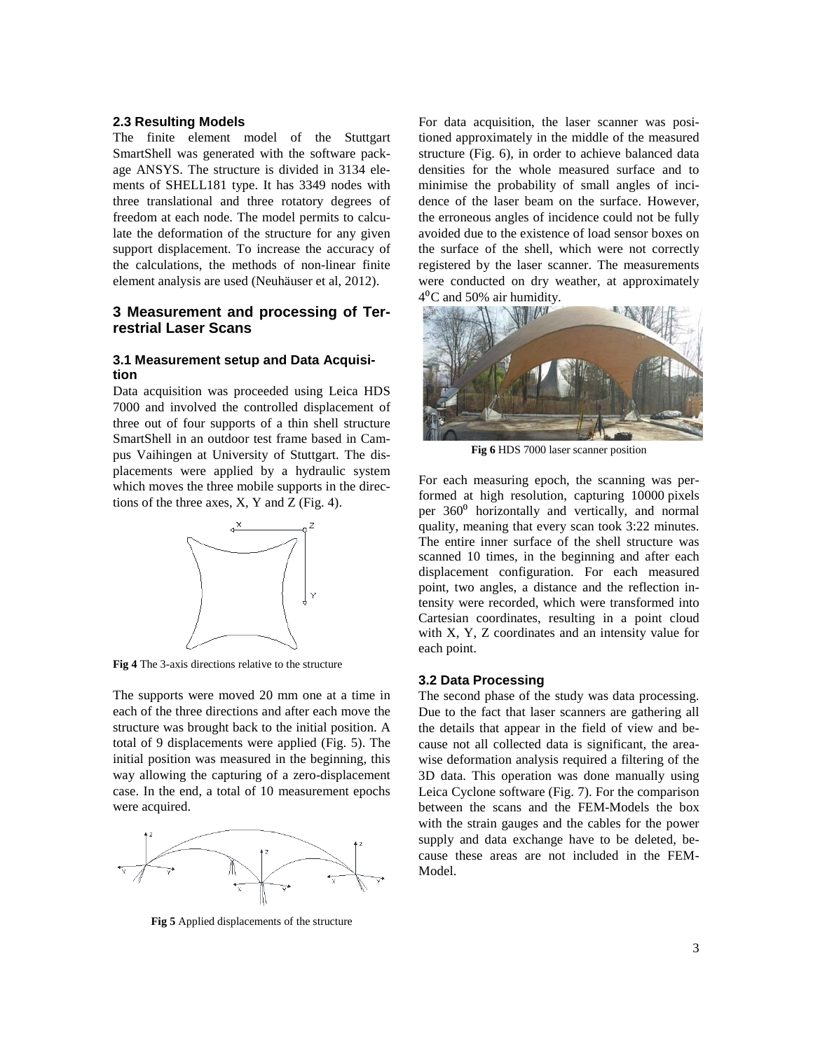#### **2.3 Resulting Models**

The finite element model of the Stuttgart SmartShell was generated with the software package ANSYS. The structure is divided in 3134 elements of SHELL181 type. It has 3349 nodes with three translational and three rotatory degrees of freedom at each node. The model permits to calculate the deformation of the structure for any given support displacement. To increase the accuracy of the calculations, the methods of non-linear finite element analysis are used (Neuhäuser et al, 2012).

# **3 Measurement and processing of Terrestrial Laser Scans**

## **3.1 Measurement setup and Data Acquisition**

Data acquisition was proceeded using Leica HDS 7000 and involved the controlled displacement of three out of four supports of a thin shell structure SmartShell in an outdoor test frame based in Campus Vaihingen at University of Stuttgart. The displacements were applied by a hydraulic system which moves the three mobile supports in the directions of the three axes,  $X$ ,  $Y$  and  $Z$  (Fig. 4).



**Fig 4** The 3-axis directions relative to the structure

The supports were moved 20 mm one at a time in each of the three directions and after each move the structure was brought back to the initial position. A total of 9 displacements were applied (Fig. 5). The initial position was measured in the beginning, this way allowing the capturing of a zero-displacement case. In the end, a total of 10 measurement epochs were acquired.



**Fig 5** Applied displacements of the structure

For data acquisition, the laser scanner was positioned approximately in the middle of the measured structure (Fig. 6), in order to achieve balanced data densities for the whole measured surface and to minimise the probability of small angles of incidence of the laser beam on the surface. However, the erroneous angles of incidence could not be fully avoided due to the existence of load sensor boxes on the surface of the shell, which were not correctly registered by the laser scanner. The measurements were conducted on dry weather, at approximately  $4^{\circ}$ C and 50% air humidity.



**Fig 6** HDS 7000 laser scanner position

For each measuring epoch, the scanning was performed at high resolution, capturing 10000 pixels per 360⁰ horizontally and vertically, and normal quality, meaning that every scan took 3:22 minutes. The entire inner surface of the shell structure was scanned 10 times, in the beginning and after each displacement configuration. For each measured point, two angles, a distance and the reflection intensity were recorded, which were transformed into Cartesian coordinates, resulting in a point cloud with X, Y, Z coordinates and an intensity value for each point.

#### **3.2 Data Processing**

The second phase of the study was data processing. Due to the fact that laser scanners are gathering all the details that appear in the field of view and because not all collected data is significant, the areawise deformation analysis required a filtering of the 3D data. This operation was done manually using Leica Cyclone software (Fig. 7). For the comparison between the scans and the FEM-Models the box with the strain gauges and the cables for the power supply and data exchange have to be deleted, because these areas are not included in the FEM-Model.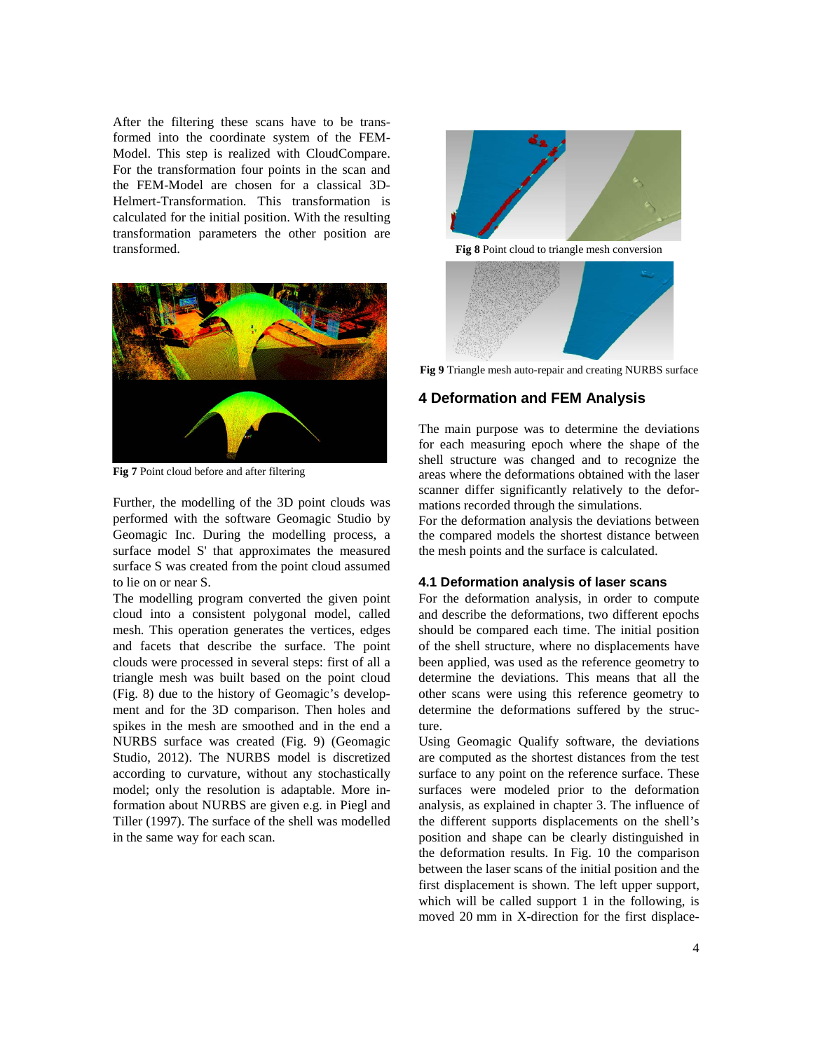After the filtering these scans have to be transformed into the coordinate system of the FEM-Model. This step is realized with CloudCompare. For the transformation four points in the scan and the FEM-Model are chosen for a classical 3D-Helmert-Transformation. This transformation is calculated for the initial position. With the resulting transformation parameters the other position are transformed.



**Fig 7** Point cloud before and after filtering

Further, the modelling of the 3D point clouds was performed with the software Geomagic Studio by Geomagic Inc. During the modelling process, a surface model S' that approximates the measured surface S was created from the point cloud assumed to lie on or near S.

The modelling program converted the given point cloud into a consistent polygonal model, called mesh. This operation generates the vertices, edges and facets that describe the surface. The point clouds were processed in several steps: first of all a triangle mesh was built based on the point cloud (Fig. 8) due to the history of Geomagic's development and for the 3D comparison. Then holes and spikes in the mesh are smoothed and in the end a NURBS surface was created (Fig. 9) (Geomagic Studio, 2012). The NURBS model is discretized according to curvature, without any stochastically model; only the resolution is adaptable. More information about NURBS are given e.g. in Piegl and Tiller (1997). The surface of the shell was modelled in the same way for each scan.



**Fig 8** Point cloud to triangle mesh conversion



**Fig 9** Triangle mesh auto-repair and creating NURBS surface

# **4 Deformation and FEM Analysis**

The main purpose was to determine the deviations for each measuring epoch where the shape of the shell structure was changed and to recognize the areas where the deformations obtained with the laser scanner differ significantly relatively to the deformations recorded through the simulations.

For the deformation analysis the deviations between the compared models the shortest distance between the mesh points and the surface is calculated.

## **4.1 Deformation analysis of laser scans**

For the deformation analysis, in order to compute and describe the deformations, two different epochs should be compared each time. The initial position of the shell structure, where no displacements have been applied, was used as the reference geometry to determine the deviations. This means that all the other scans were using this reference geometry to determine the deformations suffered by the structure.

Using Geomagic Qualify software, the deviations are computed as the shortest distances from the test surface to any point on the reference surface. These surfaces were modeled prior to the deformation analysis, as explained in chapter 3. The influence of the different supports displacements on the shell's position and shape can be clearly distinguished in the deformation results. In Fig. 10 the comparison between the laser scans of the initial position and the first displacement is shown. The left upper support, which will be called support 1 in the following, is moved 20 mm in X-direction for the first displace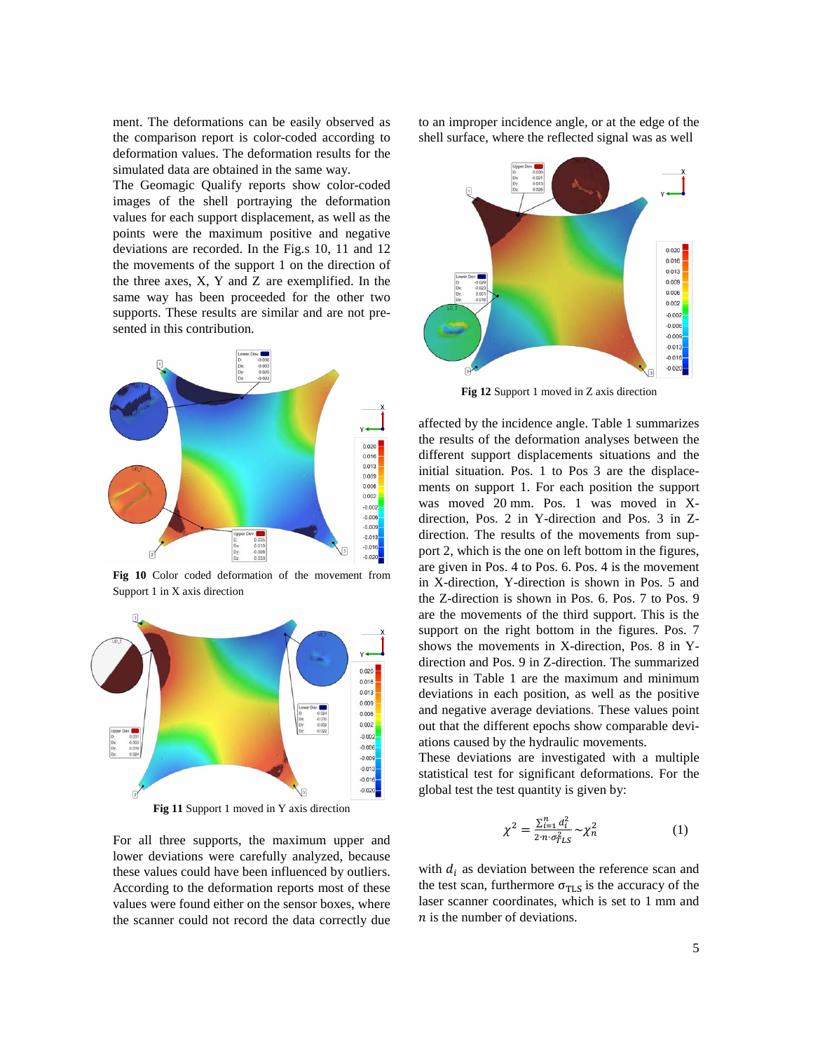ment. The deformations can be easily observed as the comparison report is color-coded according to deformation values. The deformation results for the simulated data are obtained in the same way.

The Geomagic Qualify reports show color-coded images of the shell portraying the deformation values for each support displacement, as well as the points were the maximum positive and negative deviations are recorded. In the Fig.s 10, 11 and 12 the movements of the support 1 on the direction of the three axes, X, Y and Z are exemplified. In the same way has been proceeded for the other two supports. These results are similar and are not presented in this contribution.



**Fig 10** Color coded deformation of the movement from Support 1 in X axis direction



**Fig 11** Support 1 moved in Y axis direction

For all three supports, the maximum upper and lower deviations were carefully analyzed, because these values could have been influenced by outliers. According to the deformation reports most of these values were found either on the sensor boxes, where the scanner could not record the data correctly due to an improper incidence angle, or at the edge of the shell surface, where the reflected signal was as well



**Fig 12** Support 1 moved in Z axis direction

affected by the incidence angle. Table 1 summarizes the results of the deformation analyses between the different support displacements situations and the initial situation. Pos. 1 to Pos 3 are the displacements on support 1. For each position the support was moved 20 mm. Pos. 1 was moved in Xdirection, Pos. 2 in Y-direction and Pos. 3 in Zdirection. The results of the movements from support 2, which is the one on left bottom in the figures, are given in Pos. 4 to Pos. 6. Pos. 4 is the movement in X-direction, Y-direction is shown in Pos. 5 and the Z-direction is shown in Pos. 6. Pos. 7 to Pos. 9 are the movements of the third support. This is the support on the right bottom in the figures. Pos. 7 shows the movements in X-direction, Pos. 8 in Ydirection and Pos. 9 in Z-direction. The summarized results in Table 1 are the maximum and minimum deviations in each position, as well as the positive and negative average deviations. These values point out that the different epochs show comparable deviations caused by the hydraulic movements.

These deviations are investigated with a multiple statistical test for significant deformations. For the global test the test quantity is given by:

$$
\chi^2 = \frac{\sum_{i=1}^n d_i^2}{2 \cdot n \cdot \sigma_{TLS}^2} \sim \chi_n^2 \tag{1}
$$

with  $d_i$  as deviation between the reference scan and the test scan, furthermore  $\sigma_{TLS}$  is the accuracy of the laser scanner coordinates, which is set to 1 mm and  $n$  is the number of deviations.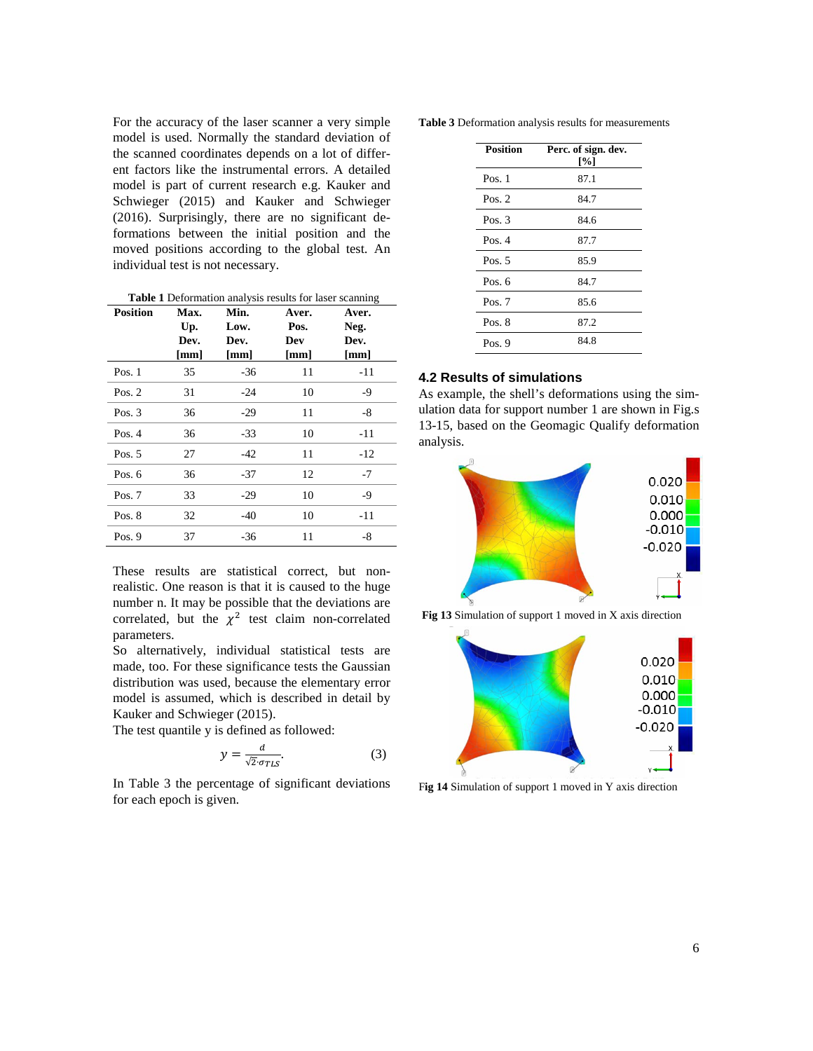For the accuracy of the laser scanner a very simple model is used. Normally the standard deviation of the scanned coordinates depends on a lot of different factors like the instrumental errors. A detailed model is part of current research e.g. Kauker and Schwieger (2015) and Kauker and Schwieger (2016). Surprisingly, there are no significant deformations between the initial position and the moved positions according to the global test. An individual test is not necessary.

| <b>Table 1</b> Deformation analysis results for laser scanning |  |  |  |
|----------------------------------------------------------------|--|--|--|
|                                                                |  |  |  |

| <b>Position</b> | <b>Max.</b><br>Up.<br>Dev.<br>$\lceil \mathbf{mm} \rceil$ | Min.<br>Low.<br>Dev.<br>[mm] | Aver.<br>Pos.<br>Dev<br>[mm] | Aver.<br>Neg.<br>Dev.<br>$\lceil$ mm $\rceil$ |
|-----------------|-----------------------------------------------------------|------------------------------|------------------------------|-----------------------------------------------|
| Pos. $1$        | 35                                                        | $-36$                        | 11                           | $-11$                                         |
| Pos. $2$        | 31                                                        | $-24$                        | 10                           | -9                                            |
| Pos. $3$        | 36                                                        | $-29$                        | 11                           | -8                                            |
| Pos. $4$        | 36                                                        | $-33$                        | 10                           | $-11$                                         |
| Pos. $5$        | 27                                                        | $-42$                        | 11                           | $-12$                                         |
| Pos. $6$        | 36                                                        | $-37$                        | 12                           | $-7$                                          |
| Pos. 7          | 33                                                        | $-29$                        | 10                           | $-9$                                          |
| Pos. $8$        | 32                                                        | $-40$                        | 10                           | $-11$                                         |
| Pos. $9$        | 37                                                        | $-36$                        | 11                           | $-8$                                          |

These results are statistical correct, but nonrealistic. One reason is that it is caused to the huge number n. It may be possible that the deviations are correlated, but the  $\chi^2$  test claim non-correlated parameters.

So alternatively, individual statistical tests are made, too. For these significance tests the Gaussian distribution was used, because the elementary error model is assumed, which is described in detail by Kauker and Schwieger (2015).

The test quantile y is defined as followed:

$$
y = \frac{d}{\sqrt{2} \cdot \sigma_{TLS}}.\tag{3}
$$

In Table 3 the percentage of significant deviations for each epoch is given.

**Table 3** Deformation analysis results for measurements

| <b>Position</b> | Perc. of sign. dev.<br>[%] |
|-----------------|----------------------------|
| Pos. $1$        | 87.1                       |
| Pos. $2$        | 84.7                       |
| Pos. $3$        | 84.6                       |
| Pos. $4$        | 87.7                       |
| Pos. $5$        | 85.9                       |
| Pos. $6$        | 84.7                       |
| Pos. $7$        | 85.6                       |
| Pos. $8$        | 87.2                       |
| Pos. $9$        | 84.8                       |

## **4.2 Results of simulations**

As example, the shell's deformations using the simulation data for support number 1 are shown in Fig.s 13-15, based on the Geomagic Qualify deformation analysis.



**Fig 13** Simulation of support 1 moved in X axis direction



F**ig 14** Simulation of support 1 moved in Y axis direction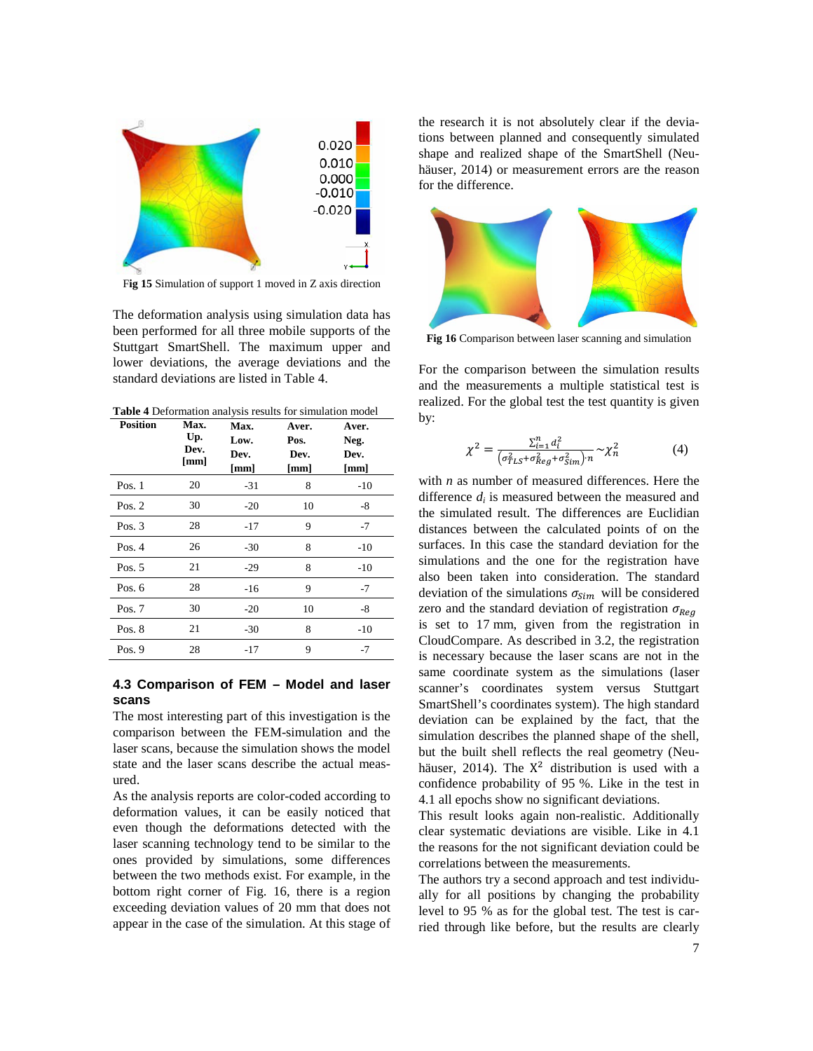

F**ig 15** Simulation of support 1 moved in Z axis direction

The deformation analysis using simulation data has been performed for all three mobile supports of the Stuttgart SmartShell. The maximum upper and lower deviations, the average deviations and the standard deviations are listed in Table 4.

**Table 4** Deformation analysis results for simulation model

| <b>Position</b> | Max.<br>Up.<br>Dev.<br>[mm] | Max.<br>Low.<br>Dev.<br>[mm] | Aver.<br>Pos.<br>Dev.<br>[mm] | Aver.<br>Neg.<br>Dev.<br>[mm] |
|-----------------|-----------------------------|------------------------------|-------------------------------|-------------------------------|
| Pos. $1$        | 20                          | $-31$                        | 8                             | $-10$                         |
| Pos. $2$        | 30                          | $-20$                        | 10                            | -8                            |
| Pos. $3$        | 28                          | $-17$                        | 9                             | $-7$                          |
| Pos. $4$        | 26                          | $-30$                        | 8                             | $-10$                         |
| Pos. $5$        | 21                          | $-29$                        | 8                             | $-10$                         |
| Pos. $6$        | 28                          | $-16$                        | 9                             | $-7$                          |
| Pos. $7$        | 30                          | $-20$                        | 10                            | -8                            |
| Pos. $8$        | 21                          | $-30$                        | 8                             | $-10$                         |
| Pos. $9$        | 28                          | $-17$                        | 9                             | -7                            |

## **4.3 Comparison of FEM – Model and laser scans**

The most interesting part of this investigation is the comparison between the FEM-simulation and the laser scans, because the simulation shows the model state and the laser scans describe the actual measured.

As the analysis reports are color-coded according to deformation values, it can be easily noticed that even though the deformations detected with the laser scanning technology tend to be similar to the ones provided by simulations, some differences between the two methods exist. For example, in the bottom right corner of Fig. 16, there is a region exceeding deviation values of 20 mm that does not appear in the case of the simulation. At this stage of

the research it is not absolutely clear if the deviations between planned and consequently simulated shape and realized shape of the SmartShell (Neuhäuser, 2014) or measurement errors are the reason for the difference.



**Fig 16** Comparison between laser scanning and simulation

For the comparison between the simulation results and the measurements a multiple statistical test is realized. For the global test the test quantity is given by:

$$
\chi^{2} = \frac{\sum_{i=1}^{n} d_{i}^{2}}{(\sigma_{TLS}^{2} + \sigma_{Reg}^{2} + \sigma_{Sim}^{2})^{n}} \sim \chi_{n}^{2}
$$
(4)

with *n* as number of measured differences. Here the difference *di* is measured between the measured and the simulated result. The differences are Euclidian distances between the calculated points of on the surfaces. In this case the standard deviation for the simulations and the one for the registration have also been taken into consideration. The standard deviation of the simulations  $\sigma_{Sim}$  will be considered zero and the standard deviation of registration  $\sigma_{\text{Reg}}$ is set to 17 mm, given from the registration in CloudCompare. As described in 3.2, the registration is necessary because the laser scans are not in the same coordinate system as the simulations (laser scanner's coordinates system versus Stuttgart SmartShell's coordinates system). The high standard deviation can be explained by the fact, that the simulation describes the planned shape of the shell, but the built shell reflects the real geometry (Neuhäuser, 2014). The  $X^2$  distribution is used with a confidence probability of 95 %. Like in the test in 4.1 all epochs show no significant deviations.

This result looks again non-realistic. Additionally clear systematic deviations are visible. Like in 4.1 the reasons for the not significant deviation could be correlations between the measurements.

The authors try a second approach and test individually for all positions by changing the probability level to 95 % as for the global test. The test is carried through like before, but the results are clearly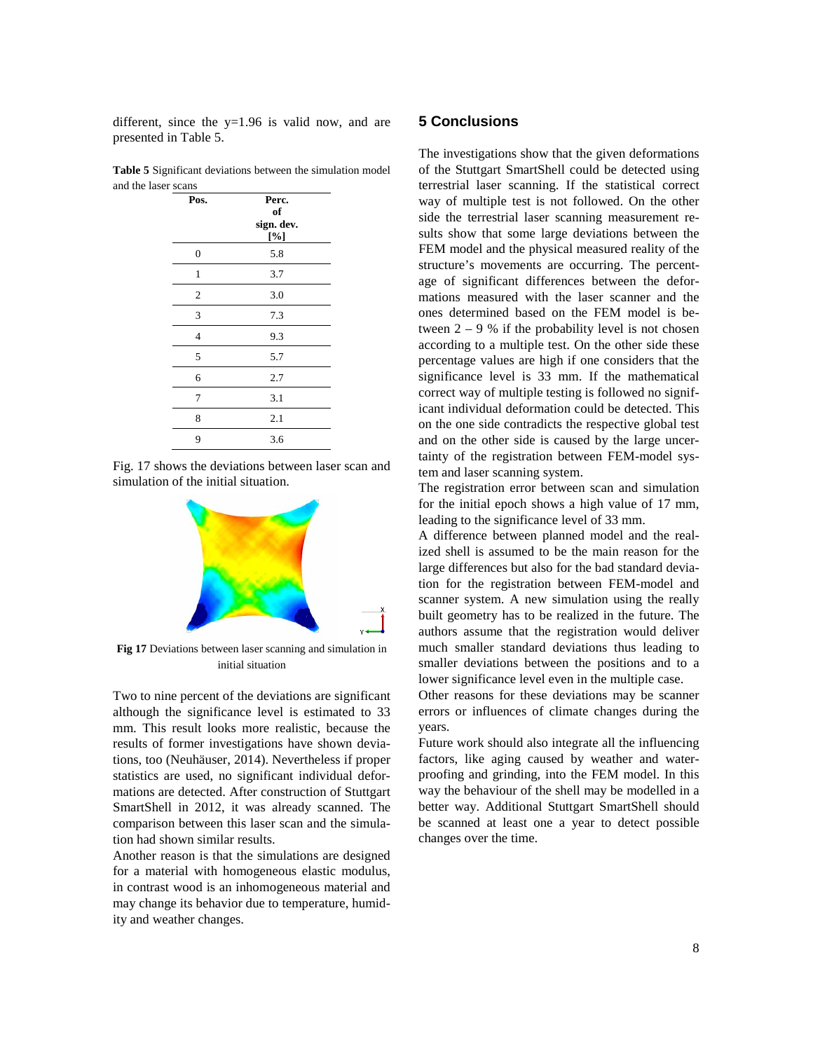different, since the  $y=1.96$  is valid now, and are presented in Table 5.

|                     | <b>Table 5</b> Significant deviations between the simulation model |
|---------------------|--------------------------------------------------------------------|
| and the laser scans |                                                                    |

| Pos.             | Perc.<br>of<br>sign. dev.<br>[%] |
|------------------|----------------------------------|
| $\boldsymbol{0}$ | 5.8                              |
| 1                | 3.7                              |
| $\boldsymbol{2}$ | 3.0                              |
| 3                | 7.3                              |
| $\overline{4}$   | 9.3                              |
| 5                | 5.7                              |
| 6                | 2.7                              |
| 7                | 3.1                              |
| 8                | 2.1                              |
| 9                | 3.6                              |

Fig. 17 shows the deviations between laser scan and simulation of the initial situation.



**Fig 17** Deviations between laser scanning and simulation in initial situation

Two to nine percent of the deviations are significant although the significance level is estimated to 33 mm. This result looks more realistic, because the results of former investigations have shown deviations, too (Neuhäuser, 2014). Nevertheless if proper statistics are used, no significant individual deformations are detected. After construction of Stuttgart SmartShell in 2012, it was already scanned. The comparison between this laser scan and the simulation had shown similar results.

Another reason is that the simulations are designed for a material with homogeneous elastic modulus, in contrast wood is an inhomogeneous material and may change its behavior due to temperature, humidity and weather changes.

## **5 Conclusions**

The investigations show that the given deformations of the Stuttgart SmartShell could be detected using terrestrial laser scanning. If the statistical correct way of multiple test is not followed. On the other side the terrestrial laser scanning measurement results show that some large deviations between the FEM model and the physical measured reality of the structure's movements are occurring. The percentage of significant differences between the deformations measured with the laser scanner and the ones determined based on the FEM model is between  $2 - 9$  % if the probability level is not chosen according to a multiple test. On the other side these percentage values are high if one considers that the significance level is 33 mm. If the mathematical correct way of multiple testing is followed no significant individual deformation could be detected. This on the one side contradicts the respective global test and on the other side is caused by the large uncertainty of the registration between FEM-model system and laser scanning system.

The registration error between scan and simulation for the initial epoch shows a high value of 17 mm, leading to the significance level of 33 mm.

A difference between planned model and the realized shell is assumed to be the main reason for the large differences but also for the bad standard deviation for the registration between FEM-model and scanner system. A new simulation using the really built geometry has to be realized in the future. The authors assume that the registration would deliver much smaller standard deviations thus leading to smaller deviations between the positions and to a lower significance level even in the multiple case.

Other reasons for these deviations may be scanner errors or influences of climate changes during the years.

Future work should also integrate all the influencing factors, like aging caused by weather and waterproofing and grinding, into the FEM model. In this way the behaviour of the shell may be modelled in a better way. Additional Stuttgart SmartShell should be scanned at least one a year to detect possible changes over the time.